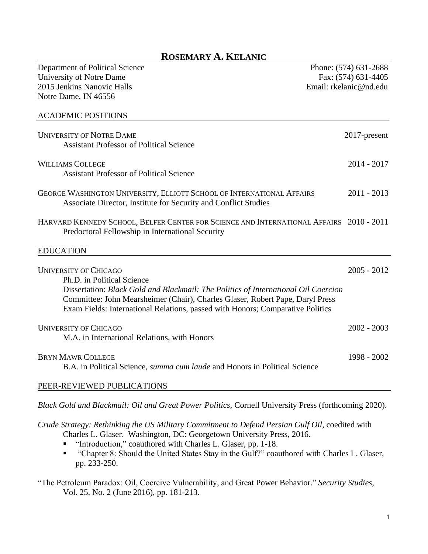# **ROSEMARY A. KELANIC**

| Department of Political Science                                                                                                                                                                                                                       | Phone: (574) 631-2688  |
|-------------------------------------------------------------------------------------------------------------------------------------------------------------------------------------------------------------------------------------------------------|------------------------|
| University of Notre Dame                                                                                                                                                                                                                              | Fax: (574) 631-4405    |
| 2015 Jenkins Nanovic Halls                                                                                                                                                                                                                            | Email: rkelanic@nd.edu |
| Notre Dame, IN 46556                                                                                                                                                                                                                                  |                        |
| <b>ACADEMIC POSITIONS</b>                                                                                                                                                                                                                             |                        |
| <b>UNIVERSITY OF NOTRE DAME</b>                                                                                                                                                                                                                       | 2017-present           |
| <b>Assistant Professor of Political Science</b>                                                                                                                                                                                                       |                        |
| <b>WILLIAMS COLLEGE</b>                                                                                                                                                                                                                               | $2014 - 2017$          |
| <b>Assistant Professor of Political Science</b>                                                                                                                                                                                                       |                        |
| GEORGE WASHINGTON UNIVERSITY, ELLIOTT SCHOOL OF INTERNATIONAL AFFAIRS<br>Associate Director, Institute for Security and Conflict Studies                                                                                                              | $2011 - 2013$          |
| HARVARD KENNEDY SCHOOL, BELFER CENTER FOR SCIENCE AND INTERNATIONAL AFFAIRS 2010 - 2011<br>Predoctoral Fellowship in International Security                                                                                                           |                        |
| <b>EDUCATION</b>                                                                                                                                                                                                                                      |                        |
| <b>UNIVERSITY OF CHICAGO</b><br>Ph.D. in Political Science                                                                                                                                                                                            | $2005 - 2012$          |
| Dissertation: Black Gold and Blackmail: The Politics of International Oil Coercion<br>Committee: John Mearsheimer (Chair), Charles Glaser, Robert Pape, Daryl Press<br>Exam Fields: International Relations, passed with Honors; Comparative Politics |                        |
| <b>UNIVERSITY OF CHICAGO</b><br>M.A. in International Relations, with Honors                                                                                                                                                                          | $2002 - 2003$          |
| <b>BRYN MAWR COLLEGE</b><br>B.A. in Political Science, summa cum laude and Honors in Political Science                                                                                                                                                | 1998 - 2002            |
| PEER-REVIEWED PUBLICATIONS                                                                                                                                                                                                                            |                        |

*Black Gold and Blackmail: Oil and Great Power Politics,* Cornell University Press (forthcoming 2020).

*Crude Strategy: Rethinking the US Military Commitment to Defend Persian Gulf Oil,* coedited with Charles L. Glaser. Washington, DC: Georgetown University Press, 2016.

- "Introduction," coauthored with Charles L. Glaser, pp. 1-18.
- "Chapter 8: Should the United States Stay in the Gulf?" coauthored with Charles L. Glaser, pp. 233-250.

"The Petroleum Paradox: Oil, Coercive Vulnerability, and Great Power Behavior." *Security Studies,*  Vol. 25, No. 2 (June 2016), pp. 181-213.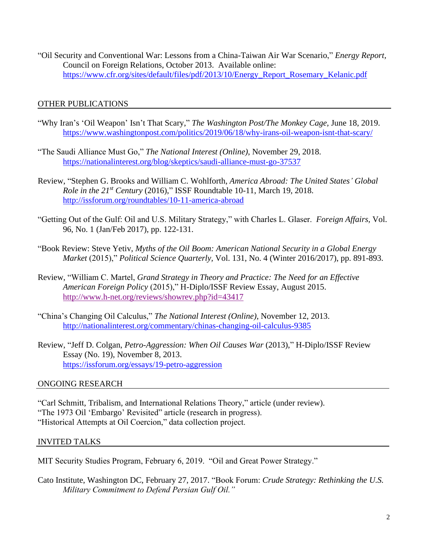"Oil Security and Conventional War: Lessons from a China-Taiwan Air War Scenario," *Energy Report,*  Council on Foreign Relations, October 2013. Available online: [https://www.cfr.org/sites/default/files/pdf/2013/10/Energy\\_Report\\_Rosemary\\_Kelanic.pdf](https://www.cfr.org/sites/default/files/pdf/2013/10/Energy_Report_Rosemary_Kelanic.pdf)

# OTHER PUBLICATIONS

- "Why Iran's 'Oil Weapon' Isn't That Scary," *The Washington Post/The Monkey Cage,* June 18, 2019. <https://www.washingtonpost.com/politics/2019/06/18/why-irans-oil-weapon-isnt-that-scary/>
- "The Saudi Alliance Must Go," *The National Interest (Online)*, November 29, 2018. <https://nationalinterest.org/blog/skeptics/saudi-alliance-must-go-37537>
- Review, "Stephen G. Brooks and William C. Wohlforth, *America Abroad: The United States' Global Role in the 21st Century* (2016)," ISSF Roundtable 10-11, March 19, 2018. <http://issforum.org/roundtables/10-11-america-abroad>
- "Getting Out of the Gulf: Oil and U.S. Military Strategy," with Charles L. Glaser. *Foreign Affairs,* Vol. 96, No. 1 (Jan/Feb 2017), pp. 122-131.
- "Book Review: Steve Yetiv, *Myths of the Oil Boom: American National Security in a Global Energy Market* (2015)," *Political Science Quarterly,* Vol. 131, No. 4 (Winter 2016/2017), pp. 891-893.
- Review, "William C. Martel, *Grand Strategy in Theory and Practice: The Need for an Effective American Foreign Policy* (2015)," H-Diplo/ISSF Review Essay, August 2015. <http://www.h-net.org/reviews/showrev.php?id=43417>
- "China's Changing Oil Calculus," *The National Interest (Online)*, November 12, 2013. <http://nationalinterest.org/commentary/chinas-changing-oil-calculus-9385>
- Review, "Jeff D. Colgan, *Petro-Aggression: When Oil Causes War* (2013)," H-Diplo/ISSF Review Essay (No. 19), November 8, 2013. <https://issforum.org/essays/19-petro-aggression>

## ONGOING RESEARCH

"Carl Schmitt, Tribalism, and International Relations Theory," article (under review). "The 1973 Oil 'Embargo' Revisited" article (research in progress). "Historical Attempts at Oil Coercion," data collection project.

## INVITED TALKS

MIT Security Studies Program, February 6, 2019. "Oil and Great Power Strategy."

Cato Institute, Washington DC, February 27, 2017. "Book Forum: *Crude Strategy: Rethinking the U.S. Military Commitment to Defend Persian Gulf Oil."*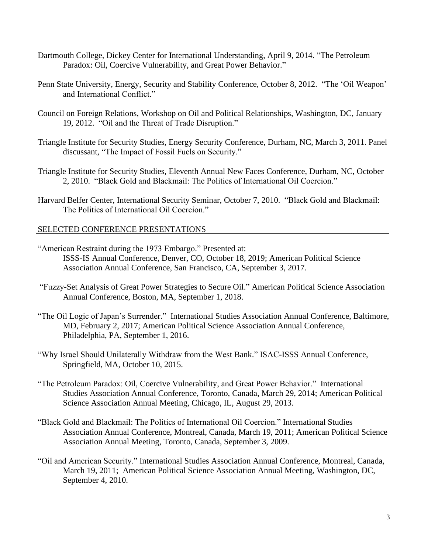- Dartmouth College, Dickey Center for International Understanding, April 9, 2014. "The Petroleum Paradox: Oil, Coercive Vulnerability, and Great Power Behavior."
- Penn State University, Energy, Security and Stability Conference, October 8, 2012. "The 'Oil Weapon' and International Conflict."
- Council on Foreign Relations, Workshop on Oil and Political Relationships, Washington, DC, January 19, 2012. "Oil and the Threat of Trade Disruption."
- Triangle Institute for Security Studies, Energy Security Conference, Durham, NC, March 3, 2011. Panel discussant, "The Impact of Fossil Fuels on Security."
- Triangle Institute for Security Studies, Eleventh Annual New Faces Conference, Durham, NC, October 2, 2010. "Black Gold and Blackmail: The Politics of International Oil Coercion."
- Harvard Belfer Center, International Security Seminar, October 7, 2010. "Black Gold and Blackmail: The Politics of International Oil Coercion."

## SELECTED CONFERENCE PRESENTATIONS

- "American Restraint during the 1973 Embargo." Presented at: ISSS-IS Annual Conference, Denver, CO, October 18, 2019; American Political Science Association Annual Conference, San Francisco, CA, September 3, 2017.
- "Fuzzy-Set Analysis of Great Power Strategies to Secure Oil." American Political Science Association Annual Conference, Boston, MA, September 1, 2018.
- "The Oil Logic of Japan's Surrender." International Studies Association Annual Conference, Baltimore, MD, February 2, 2017; American Political Science Association Annual Conference, Philadelphia, PA, September 1, 2016.
- "Why Israel Should Unilaterally Withdraw from the West Bank." ISAC-ISSS Annual Conference, Springfield, MA, October 10, 2015.
- "The Petroleum Paradox: Oil, Coercive Vulnerability, and Great Power Behavior." International Studies Association Annual Conference, Toronto, Canada, March 29, 2014; American Political Science Association Annual Meeting, Chicago, IL, August 29, 2013.
- "Black Gold and Blackmail: The Politics of International Oil Coercion." International Studies Association Annual Conference, Montreal, Canada, March 19, 2011; American Political Science Association Annual Meeting, Toronto, Canada, September 3, 2009.
- "Oil and American Security." International Studies Association Annual Conference, Montreal, Canada, March 19, 2011; American Political Science Association Annual Meeting, Washington, DC, September 4, 2010.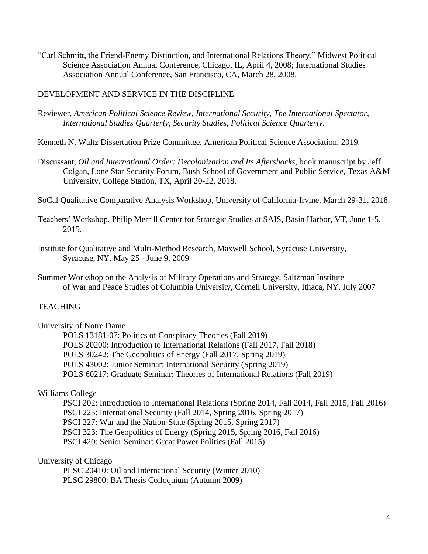"Carl Schmitt, the Friend-Enemy Distinction, and International Relations Theory." Midwest Political Science Association Annual Conference, Chicago, IL, April 4, 2008; International Studies Association Annual Conference, San Francisco, CA, March 28, 2008.

#### DEVELOPMENT AND SERVICE IN THE DISCIPLINE

- Reviewer, *American Political Science Review, International Security, The International Spectator, International Studies Quarterly, Security Studies, Political Science Quarterly.*
- Kenneth N. Waltz Dissertation Prize Committee, American Political Science Association, 2019.
- Discussant, *Oil and International Order: Decolonization and Its Aftershocks,* book manuscript by Jeff Colgan, Lone Star Security Forum, Bush School of Government and Public Service, Texas A&M University, College Station, TX, April 20-22, 2018.
- SoCal Qualitative Comparative Analysis Workshop, University of California-Irvine, March 29-31, 2018.
- Teachers' Workshop, Philip Merrill Center for Strategic Studies at SAIS, Basin Harbor, VT, June 1-5, 2015.
- Institute for Qualitative and Multi-Method Research, Maxwell School, Syracuse University, Syracuse, NY, May 25 - June 9, 2009
- Summer Workshop on the Analysis of Military Operations and Strategy, Saltzman Institute of War and Peace Studies of Columbia University, Cornell University, Ithaca, NY, July 2007

#### **TEACHING**

- University of Notre Dame
	- POLS 13181-07: Politics of Conspiracy Theories (Fall 2019) POLS 20200: Introduction to International Relations (Fall 2017, Fall 2018) POLS 30242: The Geopolitics of Energy (Fall 2017, Spring 2019) POLS 43002: Junior Seminar: International Security (Spring 2019) POLS 60217: Graduate Seminar: Theories of International Relations (Fall 2019)

#### Williams College

- PSCI 202: Introduction to International Relations (Spring 2014, Fall 2014, Fall 2015, Fall 2016)
- PSCI 225: International Security (Fall 2014, Spring 2016, Spring 2017)
- PSCI 227: War and the Nation-State (Spring 2015, Spring 2017)
- PSCI 323: The Geopolitics of Energy (Spring 2015, Spring 2016, Fall 2016)
- PSCI 420: Senior Seminar: Great Power Politics (Fall 2015)

## University of Chicago

PLSC 20410: Oil and International Security (Winter 2010) PLSC 29800: BA Thesis Colloquium (Autumn 2009)